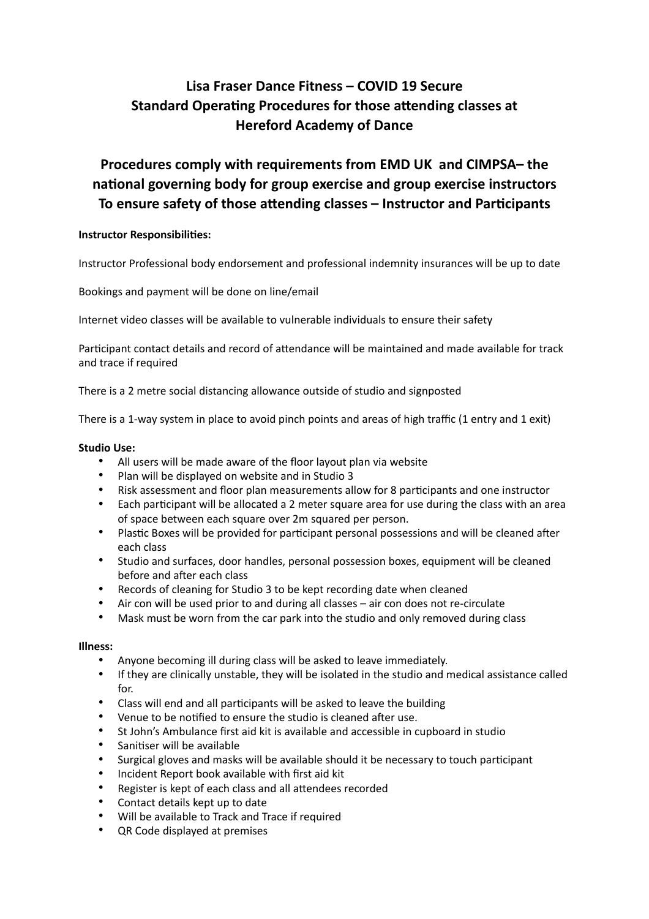# **Lisa Fraser Dance Fitness – COVID 19 Secure Standard Operating Procedures for those attending classes at Hereford Academy of Dance**

# **Procedures comply with requirements from EMD UK and CIMPSA– the na8onal governing body for group exercise and group exercise instructors**  To ensure safety of those attending classes – Instructor and Participants

# **Instructor Responsibilities:**

Instructor Professional body endorsement and professional indemnity insurances will be up to date

Bookings and payment will be done on line/email

Internet video classes will be available to vulnerable individuals to ensure their safety

Participant contact details and record of attendance will be maintained and made available for track and trace if required

There is a 2 metre social distancing allowance outside of studio and signposted

There is a 1-way system in place to avoid pinch points and areas of high traffic (1 entry and 1 exit)

#### **Studio Use:**

- All users will be made aware of the floor layout plan via website
- Plan will be displayed on website and in Studio 3
- Risk assessment and floor plan measurements allow for 8 participants and one instructor
- Each participant will be allocated a 2 meter square area for use during the class with an area of space between each square over 2m squared per person.
- Plastic Boxes will be provided for participant personal possessions and will be cleaned after each class
- Studio and surfaces, door handles, personal possession boxes, equipment will be cleaned before and after each class
- Records of cleaning for Studio 3 to be kept recording date when cleaned
- Air con will be used prior to and during all classes air con does not re-circulate
- Mask must be worn from the car park into the studio and only removed during class

#### **Illness:**

- Anyone becoming ill during class will be asked to leave immediately.
- If they are clinically unstable, they will be isolated in the studio and medical assistance called for.
- Class will end and all participants will be asked to leave the building
- Venue to be notified to ensure the studio is cleaned after use.
- St John's Ambulance first aid kit is available and accessible in cupboard in studio
- Sanitiser will be available
- Surgical gloves and masks will be available should it be necessary to touch participant
- Incident Report book available with first aid kit
- Register is kept of each class and all attendees recorded
- Contact details kept up to date
- Will be available to Track and Trace if required
- QR Code displayed at premises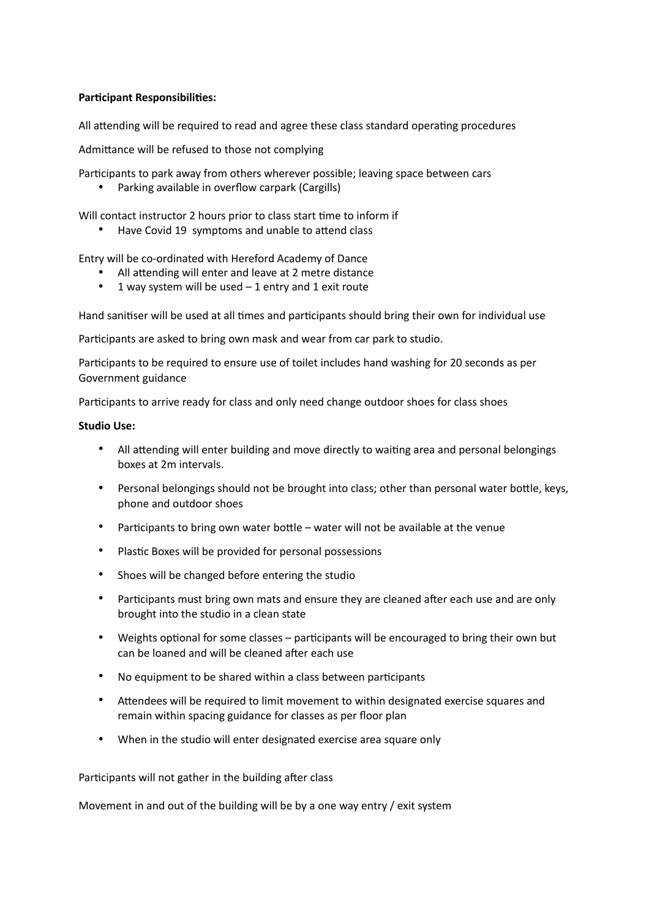## **Participant Responsibilities:**

All attending will be required to read and agree these class standard operating procedures

Admittance will be refused to those not complying

Participants to park away from others wherever possible; leaving space between cars

• Parking available in overflow carpark (Cargills)

Will contact instructor 2 hours prior to class start time to inform if

• Have Covid 19 symptoms and unable to attend class

Entry will be co-ordinated with Hereford Academy of Dance

- All attending will enter and leave at 2 metre distance
- 1 way system will be used  $-1$  entry and 1 exit route

Hand sanitiser will be used at all times and participants should bring their own for individual use

Participants are asked to bring own mask and wear from car park to studio.

Participants to be required to ensure use of toilet includes hand washing for 20 seconds as per Government guidance

Participants to arrive ready for class and only need change outdoor shoes for class shoes

#### **Studio Use:**

- All attending will enter building and move directly to waiting area and personal belongings boxes at 2m intervals.
- Personal belongings should not be brought into class; other than personal water bottle, keys, phone and outdoor shoes
- Participants to bring own water bottle water will not be available at the venue
- Plastic Boxes will be provided for personal possessions
- Shoes will be changed before entering the studio
- Participants must bring own mats and ensure they are cleaned after each use and are only brought into the studio in a clean state
- Weights optional for some classes participants will be encouraged to bring their own but can be loaned and will be cleaned after each use
- No equipment to be shared within a class between participants
- Attendees will be required to limit movement to within designated exercise squares and remain within spacing guidance for classes as per floor plan
- When in the studio will enter designated exercise area square only

Participants will not gather in the building after class

Movement in and out of the building will be by a one way entry / exit system